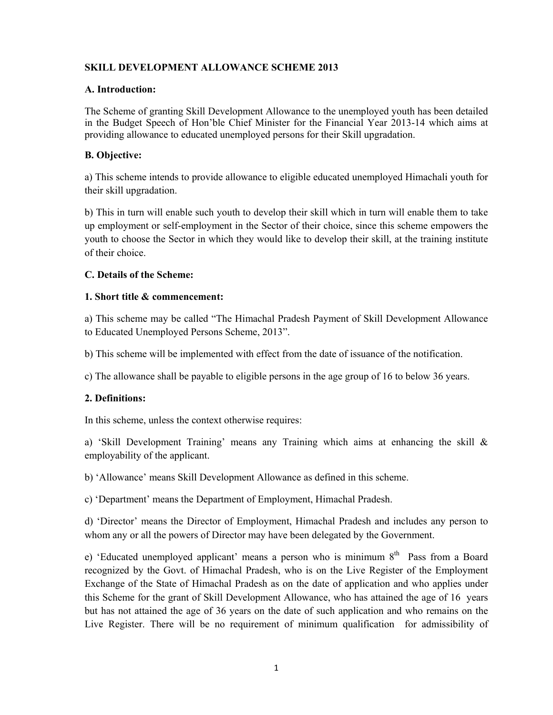### **SKILL DEVELOPMENT ALLOWANCE SCHEME 2013**

#### **A. Introduction:**

The Scheme of granting Skill Development Allowance to the unemployed youth has been detailed in the Budget Speech of Hon'ble Chief Minister for the Financial Year 2013-14 which aims at providing allowance to educated unemployed persons for their Skill upgradation.

#### **B. Objective:**

a) This scheme intends to provide allowance to eligible educated unemployed Himachali youth for their skill upgradation.

b) This in turn will enable such youth to develop their skill which in turn will enable them to take up employment or self-employment in the Sector of their choice, since this scheme empowers the youth to choose the Sector in which they would like to develop their skill, at the training institute of their choice.

#### **C. Details of the Scheme:**

#### **1. Short title & commencement:**

a) This scheme may be called "The Himachal Pradesh Payment of Skill Development Allowance to Educated Unemployed Persons Scheme, 2013".

b) This scheme will be implemented with effect from the date of issuance of the notification.

c) The allowance shall be payable to eligible persons in the age group of 16 to below 36 years.

#### **2. Definitions:**

In this scheme, unless the context otherwise requires:

a) 'Skill Development Training' means any Training which aims at enhancing the skill & employability of the applicant.

b) 'Allowance' means Skill Development Allowance as defined in this scheme.

c) 'Department' means the Department of Employment, Himachal Pradesh.

d) 'Director' means the Director of Employment, Himachal Pradesh and includes any person to whom any or all the powers of Director may have been delegated by the Government.

e) 'Educated unemployed applicant' means a person who is minimum  $8<sup>th</sup>$  Pass from a Board recognized by the Govt. of Himachal Pradesh, who is on the Live Register of the Employment Exchange of the State of Himachal Pradesh as on the date of application and who applies under this Scheme for the grant of Skill Development Allowance, who has attained the age of 16 years but has not attained the age of 36 years on the date of such application and who remains on the Live Register. There will be no requirement of minimum qualification for admissibility of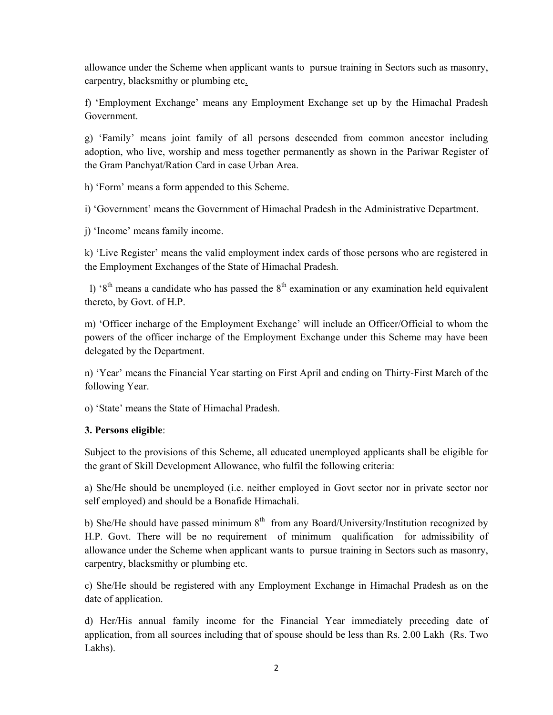allowance under the Scheme when applicant wants to pursue training in Sectors such as masonry, carpentry, blacksmithy or plumbing etc.

f) 'Employment Exchange' means any Employment Exchange set up by the Himachal Pradesh Government.

g) 'Family' means joint family of all persons descended from common ancestor including adoption, who live, worship and mess together permanently as shown in the Pariwar Register of the Gram Panchyat/Ration Card in case Urban Area.

h) 'Form' means a form appended to this Scheme.

i) 'Government' means the Government of Himachal Pradesh in the Administrative Department.

j) 'Income' means family income.

k) 'Live Register' means the valid employment index cards of those persons who are registered in the Employment Exchanges of the State of Himachal Pradesh.

l) ' $8<sup>th</sup>$  means a candidate who has passed the  $8<sup>th</sup>$  examination or any examination held equivalent thereto, by Govt. of H.P.

m) 'Officer incharge of the Employment Exchange' will include an Officer/Official to whom the powers of the officer incharge of the Employment Exchange under this Scheme may have been delegated by the Department.

n) 'Year' means the Financial Year starting on First April and ending on Thirty-First March of the following Year.

o) 'State' means the State of Himachal Pradesh.

# **3. Persons eligible**:

Subject to the provisions of this Scheme, all educated unemployed applicants shall be eligible for the grant of Skill Development Allowance, who fulfil the following criteria:

a) She/He should be unemployed (i.e. neither employed in Govt sector nor in private sector nor self employed) and should be a Bonafide Himachali.

b) She/He should have passed minimum  $8<sup>th</sup>$  from any Board/University/Institution recognized by H.P. Govt. There will be no requirement of minimum qualification for admissibility of allowance under the Scheme when applicant wants to pursue training in Sectors such as masonry, carpentry, blacksmithy or plumbing etc.

c) She/He should be registered with any Employment Exchange in Himachal Pradesh as on the date of application.

d) Her/His annual family income for the Financial Year immediately preceding date of application, from all sources including that of spouse should be less than Rs. 2.00 Lakh (Rs. Two Lakhs).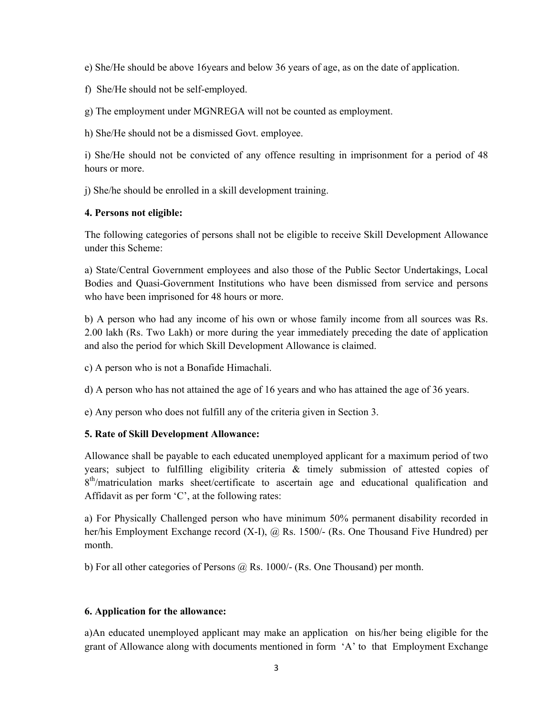e) She/He should be above 16years and below 36 years of age, as on the date of application.

f) She/He should not be self-employed.

g) The employment under MGNREGA will not be counted as employment.

h) She/He should not be a dismissed Govt. employee.

i) She/He should not be convicted of any offence resulting in imprisonment for a period of 48 hours or more.

j) She/he should be enrolled in a skill development training.

#### **4. Persons not eligible:**

The following categories of persons shall not be eligible to receive Skill Development Allowance under this Scheme:

a) State/Central Government employees and also those of the Public Sector Undertakings, Local Bodies and Quasi-Government Institutions who have been dismissed from service and persons who have been imprisoned for 48 hours or more.

b) A person who had any income of his own or whose family income from all sources was Rs. 2.00 lakh (Rs. Two Lakh) or more during the year immediately preceding the date of application and also the period for which Skill Development Allowance is claimed.

c) A person who is not a Bonafide Himachali.

d) A person who has not attained the age of 16 years and who has attained the age of 36 years.

e) Any person who does not fulfill any of the criteria given in Section 3.

#### **5. Rate of Skill Development Allowance:**

Allowance shall be payable to each educated unemployed applicant for a maximum period of two years; subject to fulfilling eligibility criteria & timely submission of attested copies of 8<sup>th</sup>/matriculation marks sheet/certificate to ascertain age and educational qualification and Affidavit as per form 'C', at the following rates:

a) For Physically Challenged person who have minimum 50% permanent disability recorded in her/his Employment Exchange record (X-I), @ Rs. 1500/- (Rs. One Thousand Five Hundred) per month.

b) For all other categories of Persons  $\omega$ , Rs. 1000/- (Rs. One Thousand) per month.

#### **6. Application for the allowance:**

a)An educated unemployed applicant may make an application on his/her being eligible for the grant of Allowance along with documents mentioned in form 'A' to that Employment Exchange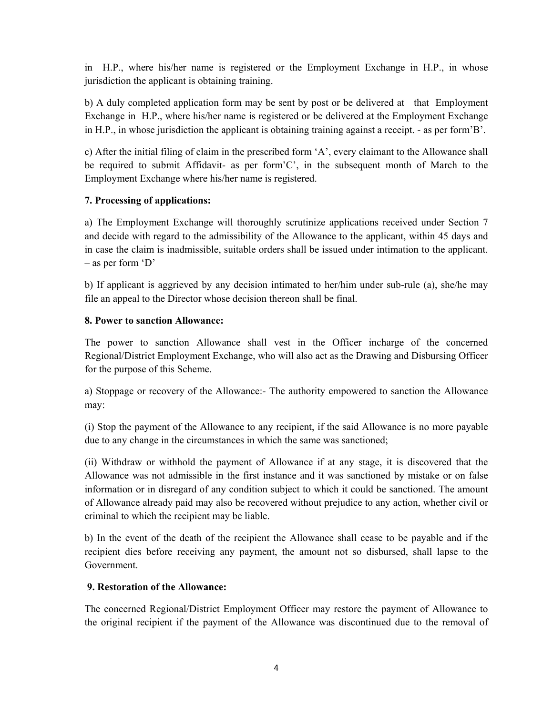in H.P., where his/her name is registered or the Employment Exchange in H.P., in whose jurisdiction the applicant is obtaining training.

b) A duly completed application form may be sent by post or be delivered at that Employment Exchange in H.P., where his/her name is registered or be delivered at the Employment Exchange in H.P., in whose jurisdiction the applicant is obtaining training against a receipt. - as per form'B'.

c) After the initial filing of claim in the prescribed form 'A', every claimant to the Allowance shall be required to submit Affidavit- as per form'C', in the subsequent month of March to the Employment Exchange where his/her name is registered.

# **7. Processing of applications:**

a) The Employment Exchange will thoroughly scrutinize applications received under Section 7 and decide with regard to the admissibility of the Allowance to the applicant, within 45 days and in case the claim is inadmissible, suitable orders shall be issued under intimation to the applicant. – as per form 'D'

b) If applicant is aggrieved by any decision intimated to her/him under sub-rule (a), she/he may file an appeal to the Director whose decision thereon shall be final.

### **8. Power to sanction Allowance:**

The power to sanction Allowance shall vest in the Officer incharge of the concerned Regional/District Employment Exchange, who will also act as the Drawing and Disbursing Officer for the purpose of this Scheme.

a) Stoppage or recovery of the Allowance:- The authority empowered to sanction the Allowance may:

(i) Stop the payment of the Allowance to any recipient, if the said Allowance is no more payable due to any change in the circumstances in which the same was sanctioned;

(ii) Withdraw or withhold the payment of Allowance if at any stage, it is discovered that the Allowance was not admissible in the first instance and it was sanctioned by mistake or on false information or in disregard of any condition subject to which it could be sanctioned. The amount of Allowance already paid may also be recovered without prejudice to any action, whether civil or criminal to which the recipient may be liable.

b) In the event of the death of the recipient the Allowance shall cease to be payable and if the recipient dies before receiving any payment, the amount not so disbursed, shall lapse to the Government.

#### **9. Restoration of the Allowance:**

The concerned Regional/District Employment Officer may restore the payment of Allowance to the original recipient if the payment of the Allowance was discontinued due to the removal of